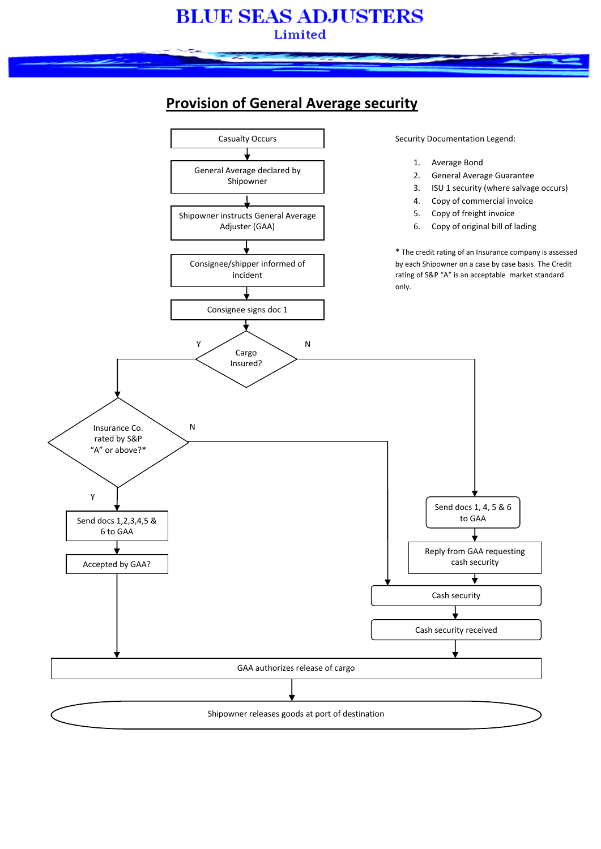## **BLUE SEAS ADJUSTERS** Limited

## **Provision of General Average security**